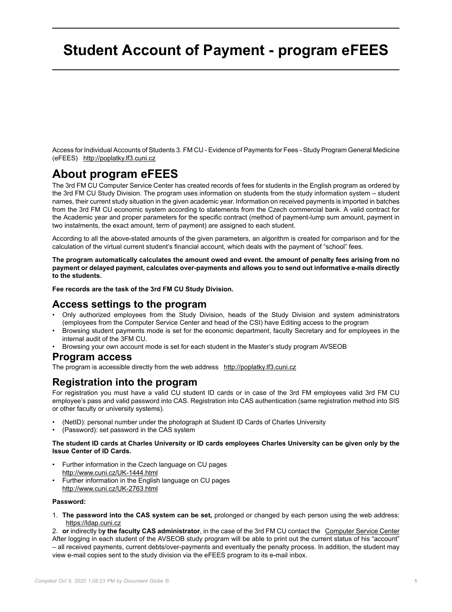# **Student Account of Payment - program eFEES**

Access for Individual Accounts of Students 3. FM CU - Evidence of Payments for Fees - Study Program General Medicine (eFEES) <http://poplatky.lf3.cuni.cz>

# **About program eFEES**

The 3rd FM CU Computer Service Center has created records of fees for students in the English program as ordered by the 3rd FM CU Study Division. The program uses information on students from the study information system – student names, their current study situation in the given academic year. Information on received payments is imported in batches from the 3rd FM CU economic system according to statements from the Czech commercial bank. A valid contract for the Academic year and proper parameters for the specific contract (method of payment-lump sum amount, payment in two instalments, the exact amount, term of payment) are assigned to each student.

According to all the above-stated amounts of the given parameters, an algorithm is created for comparison and for the calculation of the virtual current student's financial account, which deals with the payment of "school" fees.

**The program automatically calculates the amount owed and event. the amount of penalty fees arising from no payment or delayed payment, calculates over-payments and allows you to send out informative e-mails directly to the students.**

**Fee records are the task of the 3rd FM CU Study Division.**

### **Access settings to the program**

- Only authorized employees from the Study Division, heads of the Study Division and system administrators (employees from the Computer Service Center and head of the CSI) have Editing access to the program
- Browsing student payments mode is set for the economic department, faculty Secretary and for employees in the internal audit of the 3FM CU.
- Browsing your own account mode is set for each student in the Master's study program AVSEOB

#### **Program access**

The program is accessible directly from the web address <http://poplatky.lf3.cuni.cz>

## **Registration into the program**

For registration you must have a valid CU student ID cards or in case of the 3rd FM employees valid 3rd FM CU employee's pass and valid password into CAS. Registration into CAS authentication (same registration method into SIS or other faculty or university systems).

- (NetID): personal number under the photograph at Student ID Cards of Charles University
- (Password): set password in the CAS system

#### **The student ID cards at Charles University or ID cards employees Charles University can be given only by the Issue Center of ID Cards.**

- Further information in the Czech language on CU pages <http://www.cuni.cz/UK-1444.html>
- Further information in the English language on CU pages <http://www.cuni.cz/UK-2763.html>

#### **Password:**

1. **The password into the CAS system can be set,** prolonged or changed by each person using the web address: <https://ldap.cuni.cz>

2. **or** indirectly b**y the faculty CAS administrator**, in the case of the 3rd FM CU contact the [Computer Service Center](http://www.lf3.cuni.cz/3LFEN-269.html?phonebook-mode=department&phonebook-id=vypocetni&lang=en) After logging in each student of the AVSEOB study program will be able to print out the current status of his "account" – all received payments, current debts/over-payments and eventually the penalty process. In addition, the student may view e-mail copies sent to the study division via the eFEES program to its e-mail inbox.